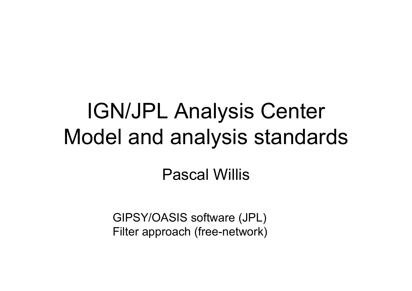## IGN/JPL Analysis Center Model and analysis standards

### Pascal Willis

GIPSY/OASIS software (JPL) Filter approach (free-network)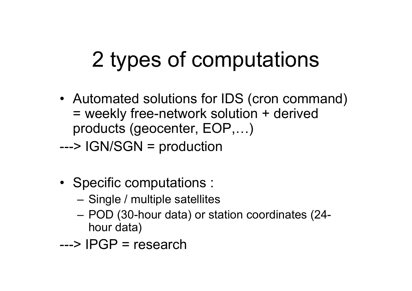# 2 types of computations

- Automated solutions for IDS (cron command) = weekly free-network solution + derived products (geocenter, EOP,…)
- ---> IGN/SGN = production
- Specific computations :
	- Single / multiple satellites
	- POD (30-hour data) or station coordinates (24 hour data)
- ---> IPGP = research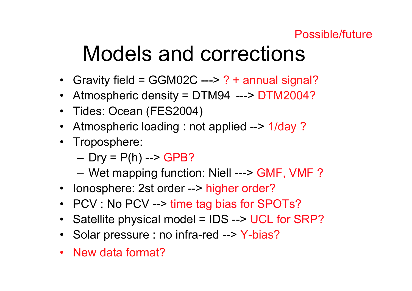#### Possible/future

## Models and corrections

- Gravity field = GGM02C ---> ? + annual signal?
- Atmospheric density = DTM94 ---> DTM2004?
- Tides: Ocean (FES2004)
- Atmospheric loading : not applied --> 1/day ?
- Troposphere:

– Dry = P(h) --> GPB?

– Wet mapping function: Niell ---> GMF, VMF ?

- Ionosphere: 2st order --> higher order?
- PCV : No PCV --> time tag bias for SPOTs?
- •Satellite physical model = IDS --> UCL for SRP?
- Solar pressure : no infra-red --> Y-bias?
- New data format?